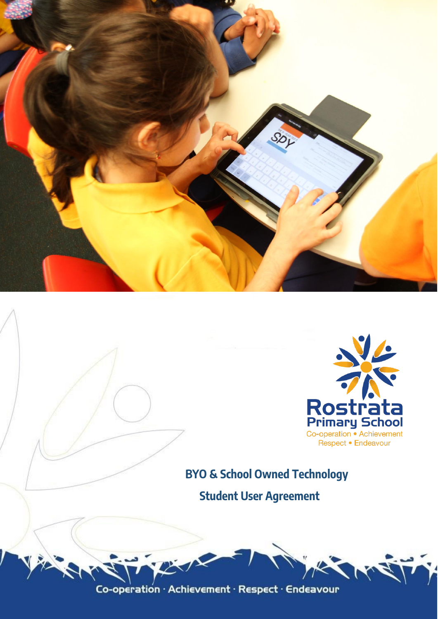



**BYO & School Owned Technology Student User Agreement**

Co-operation · Achievement · Respect · Endeavour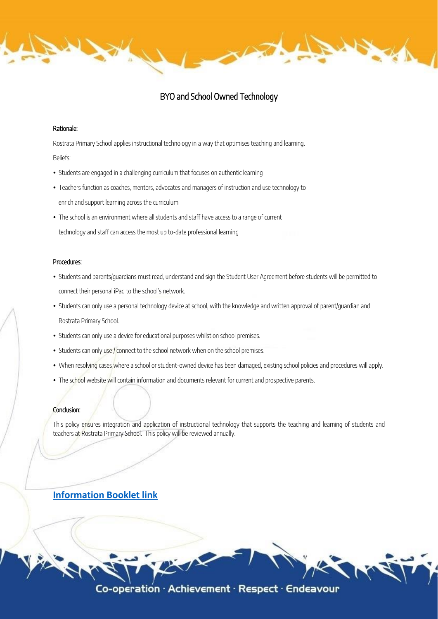# BYO and School Owned Technology

į

### Rationale:

Rostrata Primary School applies instructional technology in a way that optimises teaching and learning. Beliefs:

- Students are engaged in a challenging curriculum that focuses on authentic learning
- Teachers function as coaches, mentors, advocates and managers of instruction and use technology to enrich and support learning across the curriculum
- The school is an environment where all students and staff have access to a range of current technology and staff can access the most up to-date professional learning

## Procedures:

- Students and parents/guardians must read, understand and sign the Student User Agreement before students will be permitted to connect their personal iPad to the school's network.
- Students can only use a personal technology device at school, with the knowledge and written approval of parent/quardian and Rostrata Primary School.
- Students can only use a device for educational purposes whilst on school premises.
- Students can only use / connect to the school network when on the school premises.
- When resolving cases where a school or student-owned device has been damaged, existing school policies and procedures will apply.
- . The school website will contain information and documents relevant for current and prospective parents.

#### Conclusion:

This policy ensures integration and application of instructional technology that supports the teaching and learning of students and teachers at Rostrata Primary School. This policy will be reviewed annually.

# **[Information Booklet link](http://www.rostrataps.wa.edu.au/wp-content/uploads/2020/06/BYO-iPAD-Information-Booklet-final.pdf)**

Co-operation  $\cdot$  Achievement  $\cdot$  Respect  $\cdot$  Endeavour